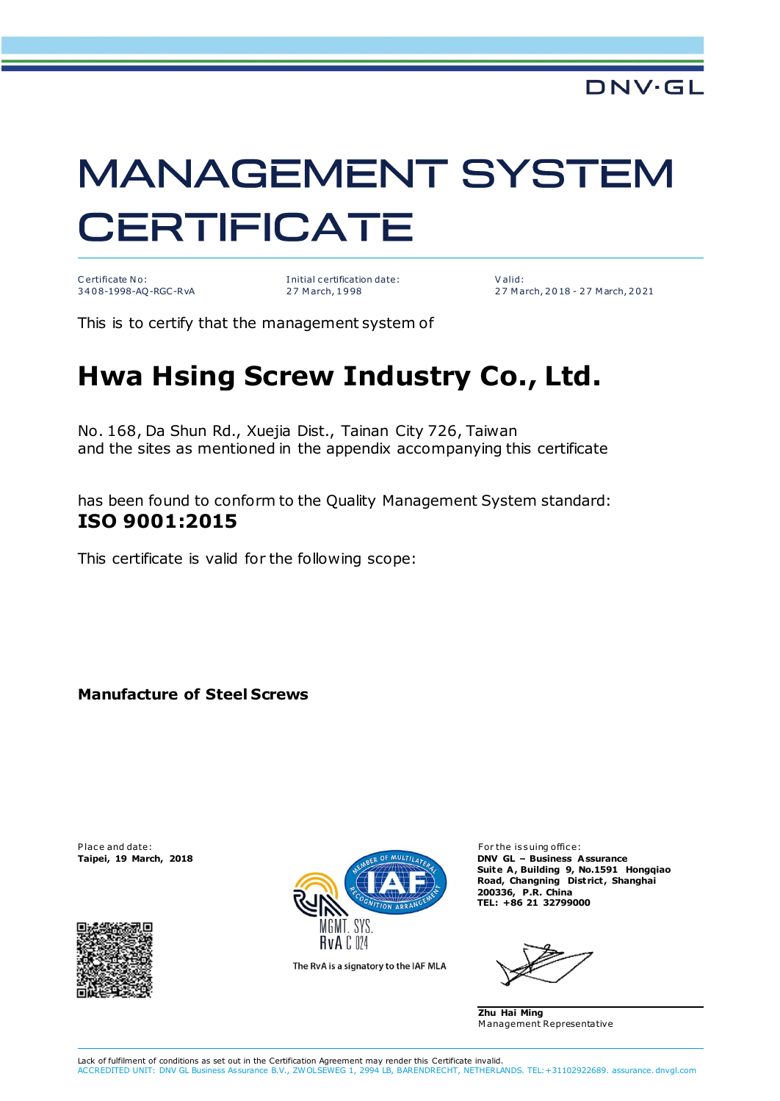## **MANAGEMENT SYSTEM CERTIFICATE**

C ertificate No: 3408-1998-AQ-RGC-RvA I nitial c ertification date: 27 March, 1998

V alid: 2 7 M arch, 2 0 18 - 2 7 M arch, 2 0 21

This is to certify that the management system of

## **Hwa Hsing Screw Industry Co., Ltd.**

No. 168, Da Shun Rd., Xuejia Dist., Tainan City 726, Taiwan and the sites as mentioned in the appendix accompanying this certificate

has been found to conform to the Quality Management System standard: **ISO 9001:2015**

This certificate is valid for the following scope:

**Manufacture of Steel Screws**





The RvA is a signatory to the IAF MLA

**Taipei, 19 March, 2018 DNV GL – Business Assurance** Suite A, Building 9, No.1591 Hongqiao **Road, Changning District , Shanghai 200336, P.R. China TEL: +86 21 32799000**

**Zhu Hai Ming** M anagement Representative